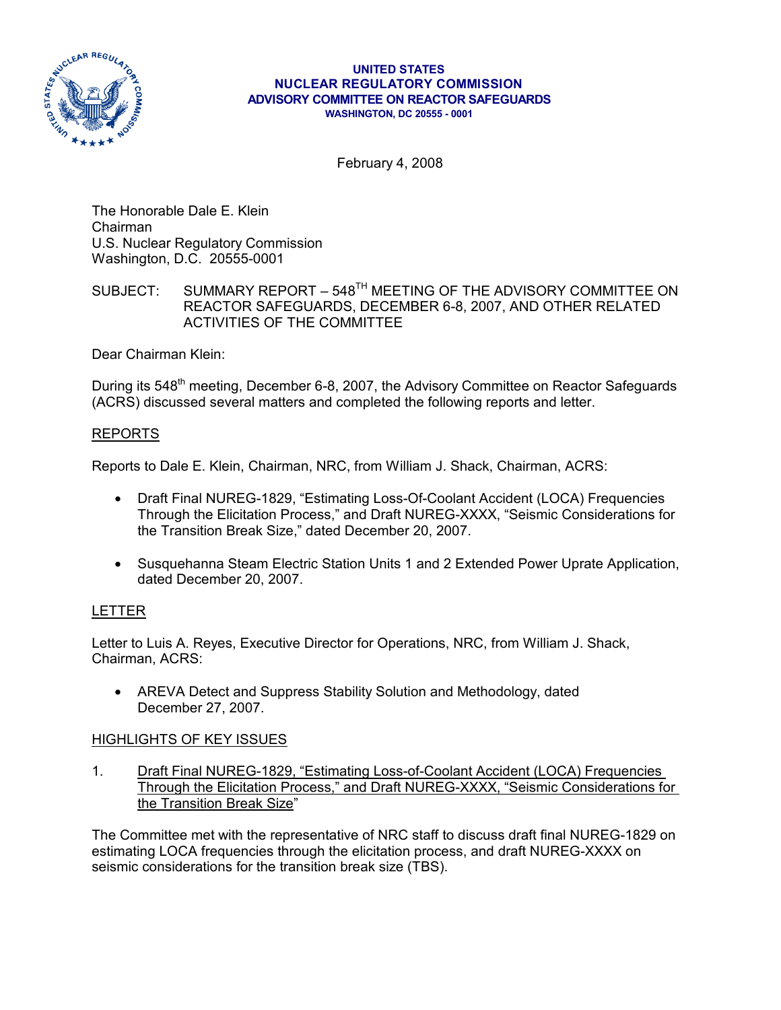

#### **UNITED STATES NUCLEAR REGULATORY COMMISSION ADVISORY COMMITTEE ON REACTOR SAFEGUARDS WASHINGTON, DC 20555 - 0001**

February 4, 2008

The Honorable Dale E. Klein Chairman U.S. Nuclear Regulatory Commission Washington, D.C. 20555-0001

# SUBJECT: SUMMARY REPORT – 548<sup>TH</sup> MEETING OF THE ADVISORY COMMITTEE ON REACTOR SAFEGUARDS, DECEMBER 6-8, 2007, AND OTHER RELATED ACTIVITIES OF THE COMMITTEE

Dear Chairman Klein:

During its 548<sup>th</sup> meeting, December 6-8, 2007, the Advisory Committee on Reactor Safeguards (ACRS) discussed several matters and completed the following reports and letter.

### REPORTS

Reports to Dale E. Klein, Chairman, NRC, from William J. Shack, Chairman, ACRS:

- Draft Final NUREG-1829, "Estimating Loss-Of-Coolant Accident (LOCA) Frequencies Through the Elicitation Process," and Draft NUREG-XXXX, "Seismic Considerations for the Transition Break Size," dated December 20, 2007.
- Susquehanna Steam Electric Station Units 1 and 2 Extended Power Uprate Application, dated December 20, 2007.

### LETTER

Letter to Luis A. Reyes, Executive Director for Operations, NRC, from William J. Shack, Chairman, ACRS:

• AREVA Detect and Suppress Stability Solution and Methodology, dated December 27, 2007.

### HIGHLIGHTS OF KEY ISSUES

1. Draft Final NUREG-1829, "Estimating Loss-of-Coolant Accident (LOCA) Frequencies Through the Elicitation Process," and Draft NUREG-XXXX, "Seismic Considerations for the Transition Break Size"

The Committee met with the representative of NRC staff to discuss draft final NUREG-1829 on estimating LOCA frequencies through the elicitation process, and draft NUREG-XXXX on seismic considerations for the transition break size (TBS).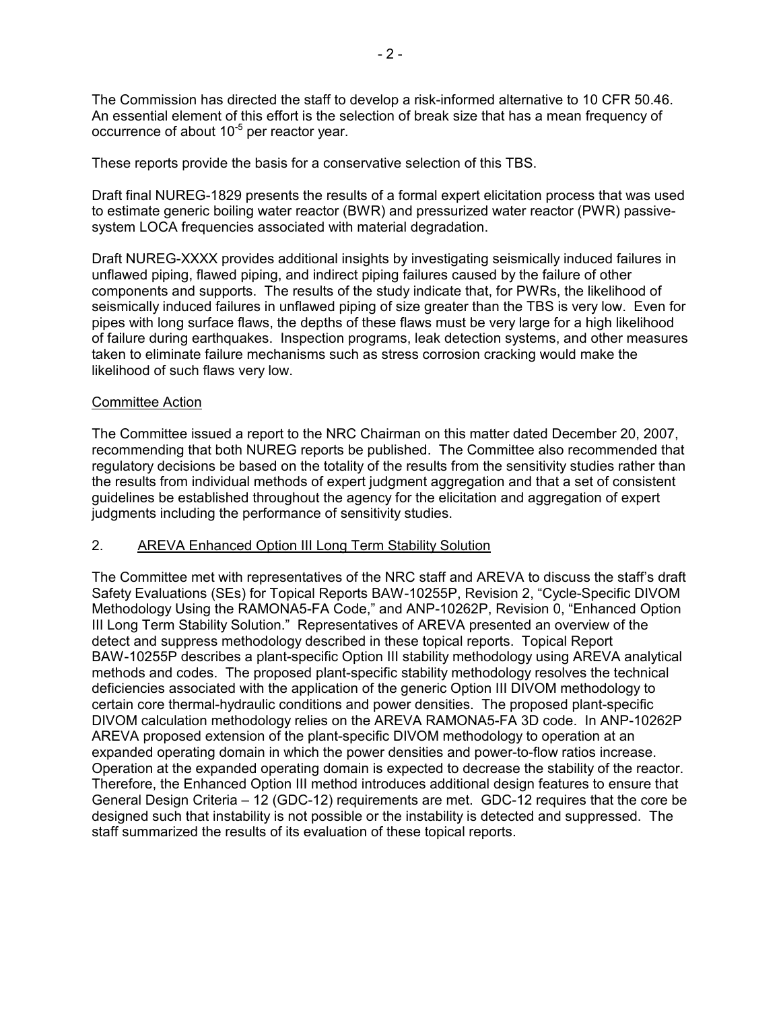The Commission has directed the staff to develop a risk-informed alternative to 10 CFR 50.46. An essential element of this effort is the selection of break size that has a mean frequency of occurrence of about  $10^{-5}$  per reactor year.

These reports provide the basis for a conservative selection of this TBS.

Draft final NUREG-1829 presents the results of a formal expert elicitation process that was used to estimate generic boiling water reactor (BWR) and pressurized water reactor (PWR) passivesystem LOCA frequencies associated with material degradation.

Draft NUREG-XXXX provides additional insights by investigating seismically induced failures in unflawed piping, flawed piping, and indirect piping failures caused by the failure of other components and supports. The results of the study indicate that, for PWRs, the likelihood of seismically induced failures in unflawed piping of size greater than the TBS is very low. Even for pipes with long surface flaws, the depths of these flaws must be very large for a high likelihood of failure during earthquakes. Inspection programs, leak detection systems, and other measures taken to eliminate failure mechanisms such as stress corrosion cracking would make the likelihood of such flaws very low.

#### Committee Action

The Committee issued a report to the NRC Chairman on this matter dated December 20, 2007, recommending that both NUREG reports be published. The Committee also recommended that regulatory decisions be based on the totality of the results from the sensitivity studies rather than the results from individual methods of expert judgment aggregation and that a set of consistent guidelines be established throughout the agency for the elicitation and aggregation of expert judgments including the performance of sensitivity studies.

#### 2. AREVA Enhanced Option III Long Term Stability Solution

The Committee met with representatives of the NRC staff and AREVA to discuss the staff's draft Safety Evaluations (SEs) for Topical Reports BAW-10255P, Revision 2, "Cycle-Specific DIVOM Methodology Using the RAMONA5-FA Code," and ANP-10262P, Revision 0, "Enhanced Option III Long Term Stability Solution." Representatives of AREVA presented an overview of the detect and suppress methodology described in these topical reports. Topical Report BAW-10255P describes a plant-specific Option III stability methodology using AREVA analytical methods and codes. The proposed plant-specific stability methodology resolves the technical deficiencies associated with the application of the generic Option III DIVOM methodology to certain core thermal-hydraulic conditions and power densities. The proposed plant-specific DIVOM calculation methodology relies on the AREVA RAMONA5-FA 3D code. In ANP-10262P AREVA proposed extension of the plant-specific DIVOM methodology to operation at an expanded operating domain in which the power densities and power-to-flow ratios increase. Operation at the expanded operating domain is expected to decrease the stability of the reactor. Therefore, the Enhanced Option III method introduces additional design features to ensure that General Design Criteria – 12 (GDC-12) requirements are met. GDC-12 requires that the core be designed such that instability is not possible or the instability is detected and suppressed. The staff summarized the results of its evaluation of these topical reports.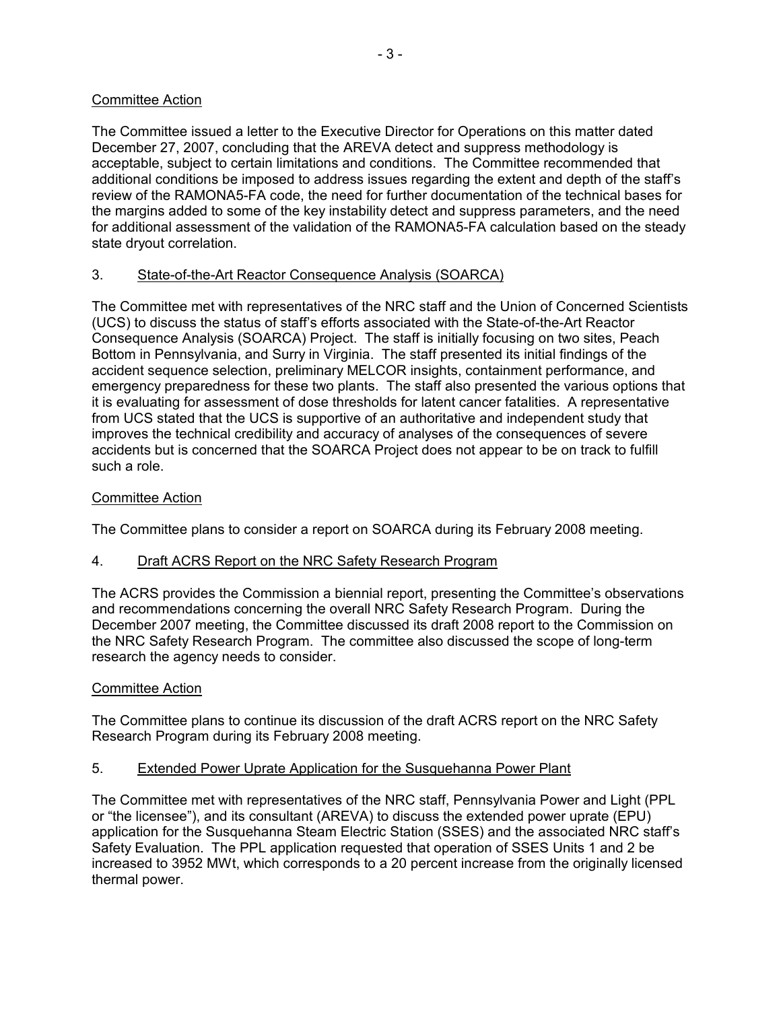## Committee Action

The Committee issued a letter to the Executive Director for Operations on this matter dated December 27, 2007, concluding that the AREVA detect and suppress methodology is acceptable, subject to certain limitations and conditions. The Committee recommended that additional conditions be imposed to address issues regarding the extent and depth of the staff's review of the RAMONA5-FA code, the need for further documentation of the technical bases for the margins added to some of the key instability detect and suppress parameters, and the need for additional assessment of the validation of the RAMONA5-FA calculation based on the steady state dryout correlation.

# 3. State-of-the-Art Reactor Consequence Analysis (SOARCA)

The Committee met with representatives of the NRC staff and the Union of Concerned Scientists (UCS) to discuss the status of staff's efforts associated with the State-of-the-Art Reactor Consequence Analysis (SOARCA) Project. The staff is initially focusing on two sites, Peach Bottom in Pennsylvania, and Surry in Virginia. The staff presented its initial findings of the accident sequence selection, preliminary MELCOR insights, containment performance, and emergency preparedness for these two plants. The staff also presented the various options that it is evaluating for assessment of dose thresholds for latent cancer fatalities. A representative from UCS stated that the UCS is supportive of an authoritative and independent study that improves the technical credibility and accuracy of analyses of the consequences of severe accidents but is concerned that the SOARCA Project does not appear to be on track to fulfill such a role.

## Committee Action

The Committee plans to consider a report on SOARCA during its February 2008 meeting.

### 4. Draft ACRS Report on the NRC Safety Research Program

The ACRS provides the Commission a biennial report, presenting the Committee's observations and recommendations concerning the overall NRC Safety Research Program. During the December 2007 meeting, the Committee discussed its draft 2008 report to the Commission on the NRC Safety Research Program. The committee also discussed the scope of long-term research the agency needs to consider.

### Committee Action

The Committee plans to continue its discussion of the draft ACRS report on the NRC Safety Research Program during its February 2008 meeting.

### 5. Extended Power Uprate Application for the Susquehanna Power Plant

The Committee met with representatives of the NRC staff, Pennsylvania Power and Light (PPL or "the licensee"), and its consultant (AREVA) to discuss the extended power uprate (EPU) application for the Susquehanna Steam Electric Station (SSES) and the associated NRC staff's Safety Evaluation. The PPL application requested that operation of SSES Units 1 and 2 be increased to 3952 MWt, which corresponds to a 20 percent increase from the originally licensed thermal power.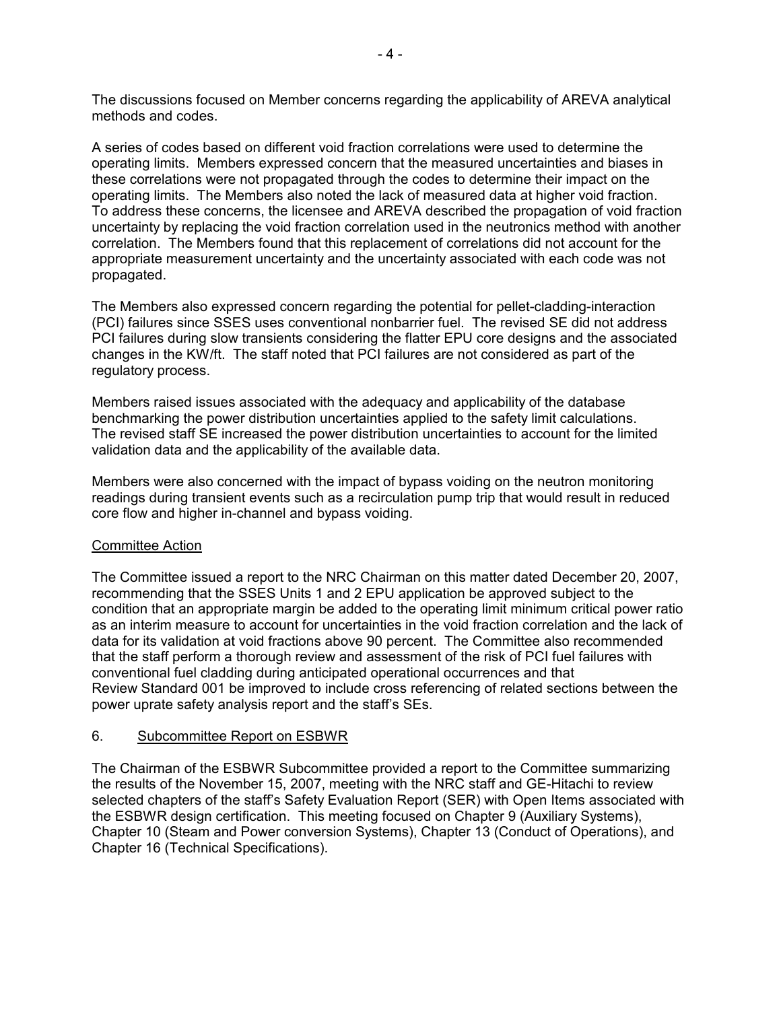The discussions focused on Member concerns regarding the applicability of AREVA analytical methods and codes.

A series of codes based on different void fraction correlations were used to determine the operating limits. Members expressed concern that the measured uncertainties and biases in these correlations were not propagated through the codes to determine their impact on the operating limits. The Members also noted the lack of measured data at higher void fraction. To address these concerns, the licensee and AREVA described the propagation of void fraction uncertainty by replacing the void fraction correlation used in the neutronics method with another correlation. The Members found that this replacement of correlations did not account for the appropriate measurement uncertainty and the uncertainty associated with each code was not propagated.

The Members also expressed concern regarding the potential for pellet-cladding-interaction (PCI) failures since SSES uses conventional nonbarrier fuel. The revised SE did not address PCI failures during slow transients considering the flatter EPU core designs and the associated changes in the KW/ft. The staff noted that PCI failures are not considered as part of the regulatory process.

Members raised issues associated with the adequacy and applicability of the database benchmarking the power distribution uncertainties applied to the safety limit calculations. The revised staff SE increased the power distribution uncertainties to account for the limited validation data and the applicability of the available data.

Members were also concerned with the impact of bypass voiding on the neutron monitoring readings during transient events such as a recirculation pump trip that would result in reduced core flow and higher in-channel and bypass voiding.

#### Committee Action

The Committee issued a report to the NRC Chairman on this matter dated December 20, 2007, recommending that the SSES Units 1 and 2 EPU application be approved subject to the condition that an appropriate margin be added to the operating limit minimum critical power ratio as an interim measure to account for uncertainties in the void fraction correlation and the lack of data for its validation at void fractions above 90 percent. The Committee also recommended that the staff perform a thorough review and assessment of the risk of PCI fuel failures with conventional fuel cladding during anticipated operational occurrences and that Review Standard 001 be improved to include cross referencing of related sections between the power uprate safety analysis report and the staff's SEs.

#### 6. Subcommittee Report on ESBWR

The Chairman of the ESBWR Subcommittee provided a report to the Committee summarizing the results of the November 15, 2007, meeting with the NRC staff and GE-Hitachi to review selected chapters of the staff's Safety Evaluation Report (SER) with Open Items associated with the ESBWR design certification. This meeting focused on Chapter 9 (Auxiliary Systems), Chapter 10 (Steam and Power conversion Systems), Chapter 13 (Conduct of Operations), and Chapter 16 (Technical Specifications).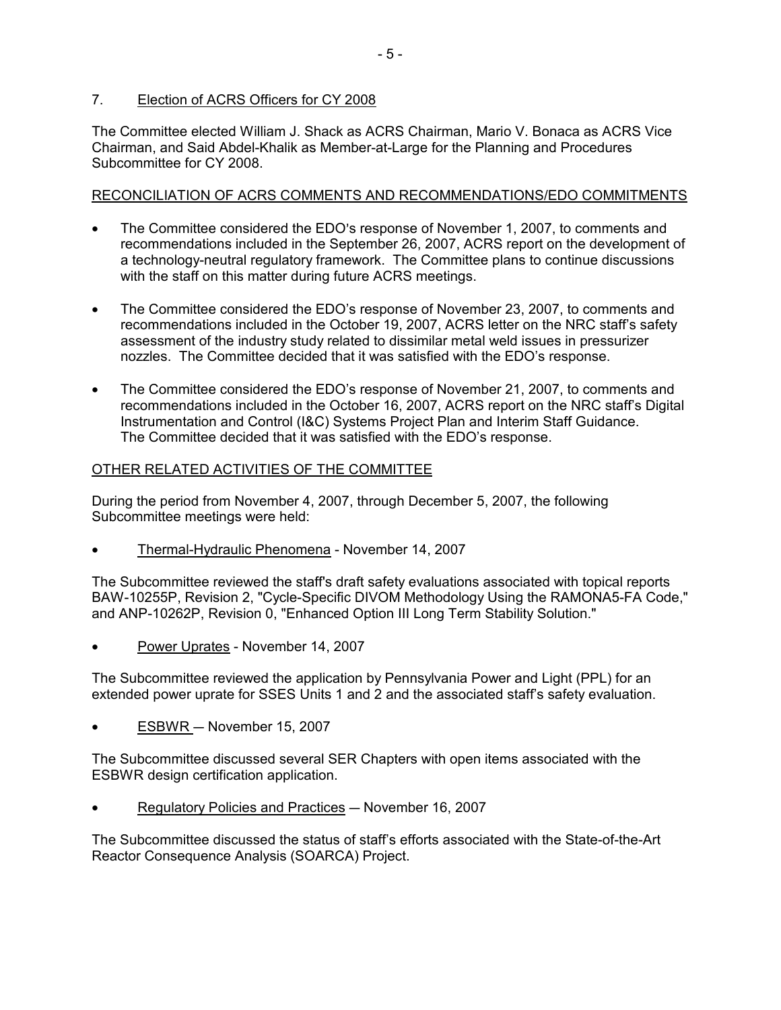## 7. Election of ACRS Officers for CY 2008

The Committee elected William J. Shack as ACRS Chairman, Mario V. Bonaca as ACRS Vice Chairman, and Said Abdel-Khalik as Member-at-Large for the Planning and Procedures Subcommittee for CY 2008.

## RECONCILIATION OF ACRS COMMENTS AND RECOMMENDATIONS/EDO COMMITMENTS

- The Committee considered the EDO's response of November 1, 2007, to comments and recommendations included in the September 26, 2007, ACRS report on the development of a technology-neutral regulatory framework. The Committee plans to continue discussions with the staff on this matter during future ACRS meetings.
- The Committee considered the EDO's response of November 23, 2007, to comments and recommendations included in the October 19, 2007, ACRS letter on the NRC staff's safety assessment of the industry study related to dissimilar metal weld issues in pressurizer nozzles. The Committee decided that it was satisfied with the EDO's response.
- The Committee considered the EDO's response of November 21, 2007, to comments and recommendations included in the October 16, 2007, ACRS report on the NRC staff's Digital Instrumentation and Control (I&C) Systems Project Plan and Interim Staff Guidance. The Committee decided that it was satisfied with the EDO's response.

# OTHER RELATED ACTIVITIES OF THE COMMITTEE

During the period from November 4, 2007, through December 5, 2007, the following Subcommittee meetings were held:

• Thermal-Hydraulic Phenomena - November 14, 2007

The Subcommittee reviewed the staff's draft safety evaluations associated with topical reports BAW-10255P, Revision 2, "Cycle-Specific DIVOM Methodology Using the RAMONA5-FA Code," and ANP-10262P, Revision 0, "Enhanced Option III Long Term Stability Solution."

Power Uprates - November 14, 2007

The Subcommittee reviewed the application by Pennsylvania Power and Light (PPL) for an extended power uprate for SSES Units 1 and 2 and the associated staff's safety evaluation.

 $ESBWR - November 15, 2007$ 

The Subcommittee discussed several SER Chapters with open items associated with the ESBWR design certification application.

Regulatory Policies and Practices - November 16, 2007

The Subcommittee discussed the status of staff's efforts associated with the State-of-the-Art Reactor Consequence Analysis (SOARCA) Project.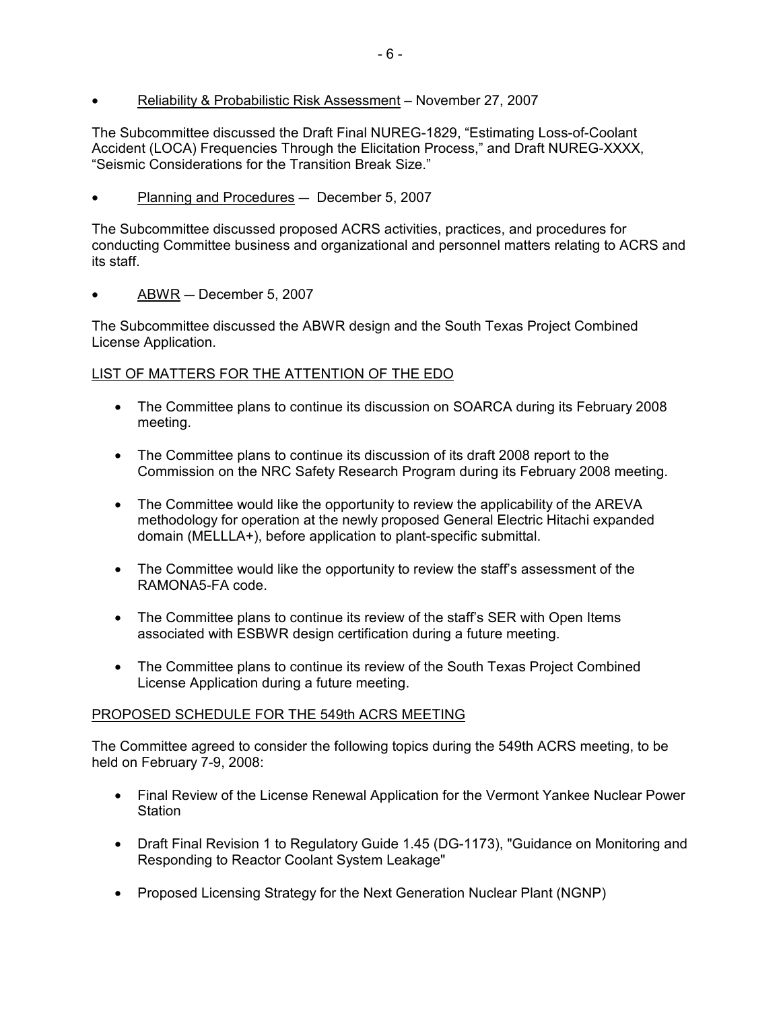• Reliability & Probabilistic Risk Assessment – November 27, 2007

The Subcommittee discussed the Draft Final NUREG-1829, "Estimating Loss-of-Coolant Accident (LOCA) Frequencies Through the Elicitation Process," and Draft NUREG-XXXX, "Seismic Considerations for the Transition Break Size."

 $\bullet$  Planning and Procedures  $-$  December 5, 2007

The Subcommittee discussed proposed ACRS activities, practices, and procedures for conducting Committee business and organizational and personnel matters relating to ACRS and its staff.

 $ABWR - December 5, 2007$ 

The Subcommittee discussed the ABWR design and the South Texas Project Combined License Application.

# LIST OF MATTERS FOR THE ATTENTION OF THE EDO

- The Committee plans to continue its discussion on SOARCA during its February 2008 meeting.
- The Committee plans to continue its discussion of its draft 2008 report to the Commission on the NRC Safety Research Program during its February 2008 meeting.
- The Committee would like the opportunity to review the applicability of the AREVA methodology for operation at the newly proposed General Electric Hitachi expanded domain (MELLLA+), before application to plant-specific submittal.
- The Committee would like the opportunity to review the staff's assessment of the RAMONA5-FA code.
- The Committee plans to continue its review of the staff's SER with Open Items associated with ESBWR design certification during a future meeting.
- The Committee plans to continue its review of the South Texas Project Combined License Application during a future meeting.

### PROPOSED SCHEDULE FOR THE 549th ACRS MEETING

The Committee agreed to consider the following topics during the 549th ACRS meeting, to be held on February 7-9, 2008:

- Final Review of the License Renewal Application for the Vermont Yankee Nuclear Power Station
- Draft Final Revision 1 to Regulatory Guide 1.45 (DG-1173), "Guidance on Monitoring and Responding to Reactor Coolant System Leakage"
- Proposed Licensing Strategy for the Next Generation Nuclear Plant (NGNP)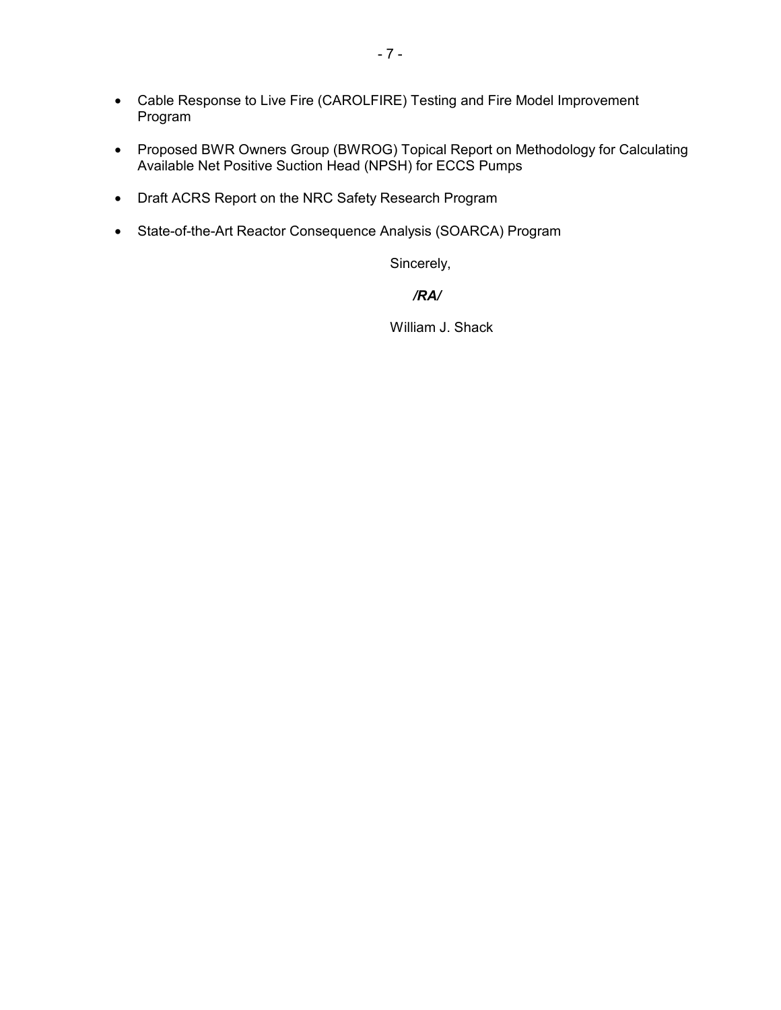- Cable Response to Live Fire (CAROLFIRE) Testing and Fire Model Improvement Program
- Proposed BWR Owners Group (BWROG) Topical Report on Methodology for Calculating Available Net Positive Suction Head (NPSH) for ECCS Pumps
- Draft ACRS Report on the NRC Safety Research Program
- State-of-the-Art Reactor Consequence Analysis (SOARCA) Program

Sincerely,

# */RA/*

William J. Shack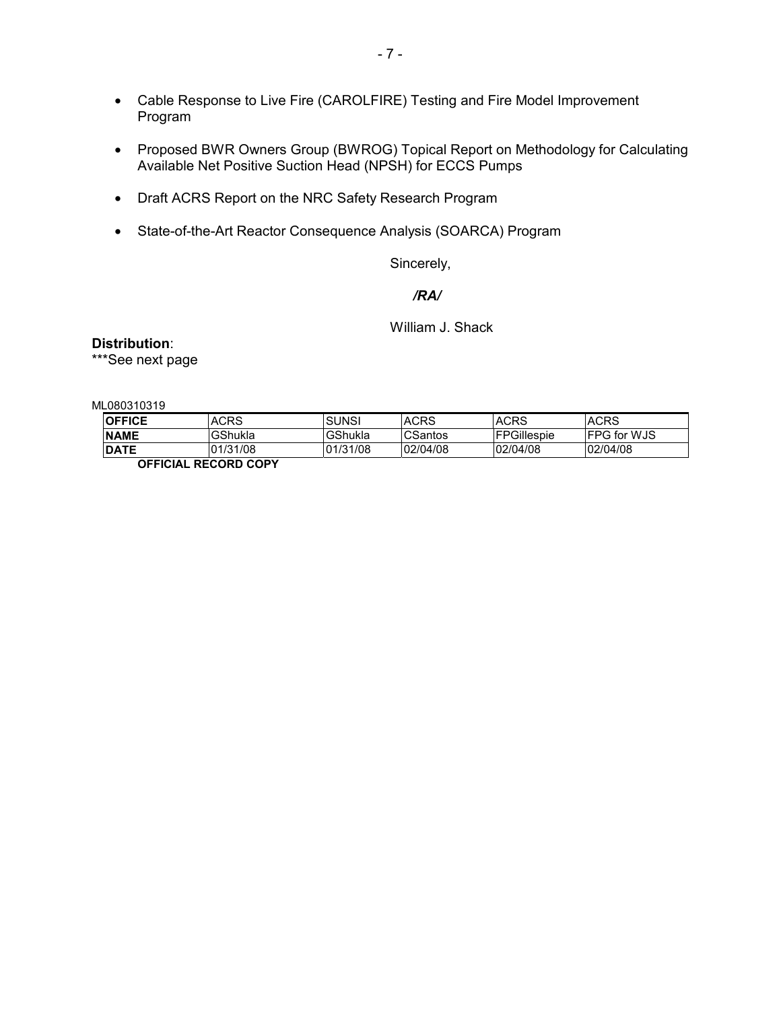- Cable Response to Live Fire (CAROLFIRE) Testing and Fire Model Improvement Program
- Proposed BWR Owners Group (BWROG) Topical Report on Methodology for Calculating Available Net Positive Suction Head (NPSH) for ECCS Pumps
- Draft ACRS Report on the NRC Safety Research Program
- State-of-the-Art Reactor Consequence Analysis (SOARCA) Program

Sincerely,

*/RA/* 

William J. Shack

**Distribution**:

\*\*\*See next page

ML080310319

| <b>OFFICE</b>        | <b>ACRS</b> | <b>SUNSI</b> | <b>ACRS</b> | <b>ACRS</b>        | <b>ACRS</b>         |  |  |
|----------------------|-------------|--------------|-------------|--------------------|---------------------|--|--|
| <b>NAME</b>          | GShukla     | GShukla      | CSantos     | <b>FPGillespie</b> | <b>IFPG for WJS</b> |  |  |
| <b>DATE</b>          | 01/31/08    | 01/31/08     | 02/04/08    | 02/04/08           | 02/04/08            |  |  |
| ACCIAIAL DEAADD AADV |             |              |             |                    |                     |  |  |

**OFFICIAL RECORD COPY**